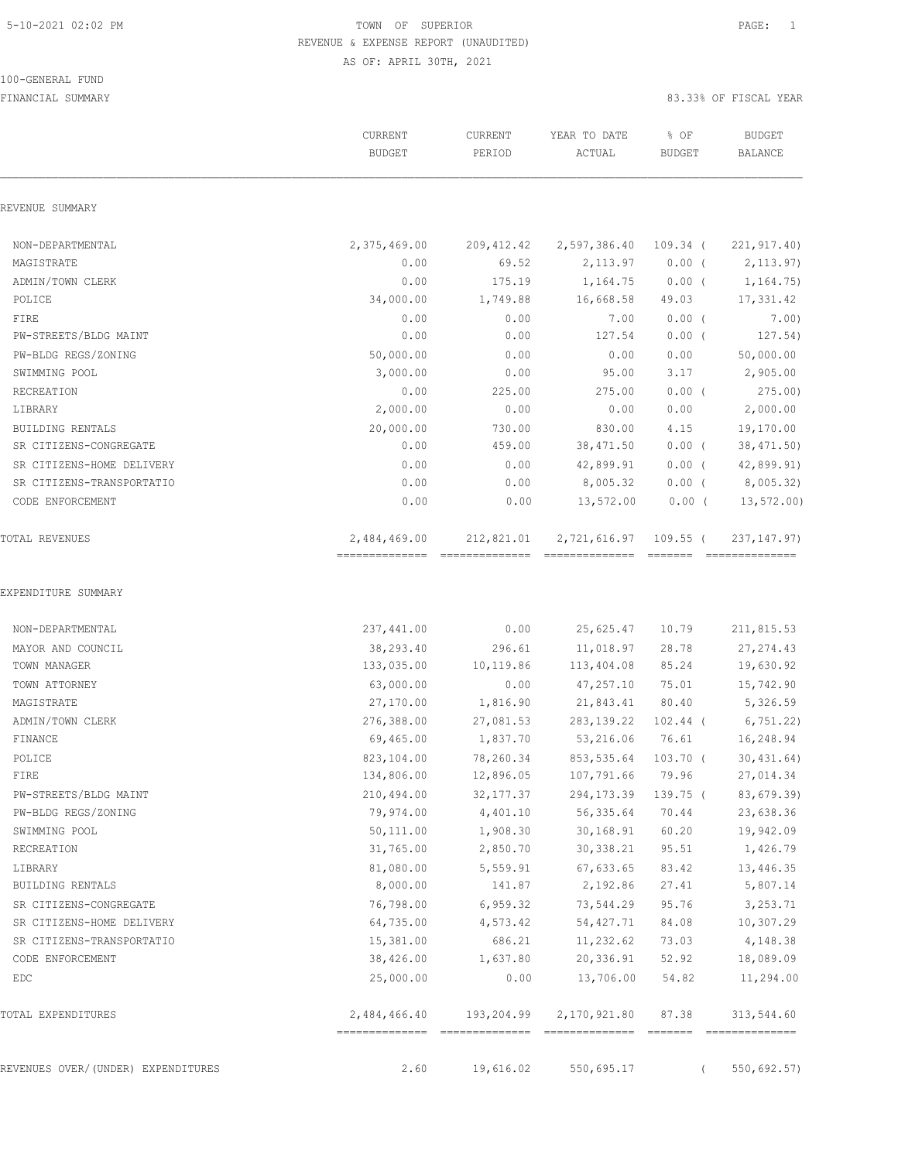100-GENERAL FUND

## 5-10-2021 02:02 PM TOWN OF SUPERIOR PAGE: 1 REVENUE & EXPENSE REPORT (UNAUDITED) AS OF: APRIL 30TH, 2021

|                                    | CURRENT<br><b>BUDGET</b> | CURRENT<br>PERIOD | YEAR TO DATE<br>ACTUAL | % OF<br><b>BUDGET</b> | <b>BUDGET</b><br><b>BALANCE</b> |
|------------------------------------|--------------------------|-------------------|------------------------|-----------------------|---------------------------------|
| REVENUE SUMMARY                    |                          |                   |                        |                       |                                 |
| NON-DEPARTMENTAL                   | 2,375,469.00             | 209,412.42        | 2,597,386.40           | $109.34$ (            | 221, 917.40                     |
| MAGISTRATE                         | 0.00                     | 69.52             | 2,113.97               | $0.00$ (              | 2, 113.97                       |
| ADMIN/TOWN CLERK                   | 0.00                     | 175.19            | 1,164.75               | $0.00$ (              | 1, 164.75)                      |
| POLICE                             | 34,000.00                | 1,749.88          | 16,668.58              | 49.03                 | 17,331.42                       |
| FIRE                               | 0.00                     | 0.00              | 7.00                   | $0.00$ (              | 7.00)                           |
| PW-STREETS/BLDG MAINT              | 0.00                     | 0.00              | 127.54                 | $0.00$ (              | 127.54)                         |
| PW-BLDG REGS/ZONING                | 50,000.00                | 0.00              | 0.00                   | 0.00                  | 50,000.00                       |
| SWIMMING POOL                      | 3,000.00                 | 0.00              | 95.00                  | 3.17                  | 2,905.00                        |
| RECREATION                         | 0.00                     | 225.00            | 275.00                 | $0.00$ (              | 275.00                          |
| LIBRARY                            | 2,000.00                 | 0.00              | 0.00                   | 0.00                  | 2,000.00                        |
| <b>BUILDING RENTALS</b>            | 20,000.00                | 730.00            | 830.00                 | 4.15                  | 19,170.00                       |
| SR CITIZENS-CONGREGATE             | 0.00                     | 459.00            | 38, 471.50             | $0.00$ (              | 38,471.50)                      |
| SR CITIZENS-HOME DELIVERY          | 0.00                     | 0.00              | 42,899.91              | $0.00$ (              | 42,899.91)                      |
| SR CITIZENS-TRANSPORTATIO          | 0.00                     | 0.00              | 8,005.32               | $0.00$ (              | 8,005.32)                       |
| CODE ENFORCEMENT                   | 0.00                     | 0.00              | 13,572.00              | $0.00$ (              | 13, 572.00                      |
| TOTAL REVENUES                     | 2,484,469.00             | 212,821.01        | 2,721,616.97 109.55 (  |                       | 237, 147.97)                    |
| EXPENDITURE SUMMARY                |                          |                   |                        |                       |                                 |
| NON-DEPARTMENTAL                   | 237,441.00               | 0.00              | 25,625.47              | 10.79                 | 211,815.53                      |
| MAYOR AND COUNCIL                  | 38,293.40                | 296.61            | 11,018.97              | 28.78                 | 27, 274.43                      |
| TOWN MANAGER                       | 133,035.00               | 10,119.86         | 113,404.08             | 85.24                 | 19,630.92                       |
| TOWN ATTORNEY                      | 63,000.00                | 0.00              | 47,257.10              | 75.01                 | 15,742.90                       |
| MAGISTRATE                         | 27,170.00                | 1,816.90          | 21,843.41              | 80.40                 | 5,326.59                        |
| ADMIN/TOWN CLERK                   | 276,388.00               | 27,081.53         | 283, 139. 22           | $102.44$ (            | 6,751.22)                       |
| FINANCE                            | 69,465.00                | 1,837.70          | 53,216.06              | 76.61                 | 16,248.94                       |
| POLICE                             | 823,104.00               | 78,260.34         | 853,535.64             | 103.70 (              | 30, 431.64)                     |
| FIRE                               | 134,806.00               | 12,896.05         | 107,791.66 79.96       |                       | 27,014.34                       |
| PW-STREETS/BLDG MAINT              | 210,494.00               | 32, 177.37        | 294,173.39             | $139.75$ (            | 83,679.39)                      |
| PW-BLDG REGS/ZONING                | 79,974.00                | 4,401.10          | 56,335.64              | 70.44                 | 23,638.36                       |
| SWIMMING POOL                      | 50,111.00                | 1,908.30          | 30,168.91              | 60.20                 | 19,942.09                       |
| RECREATION                         | 31,765.00                | 2,850.70          | 30,338.21              | 95.51                 | 1,426.79                        |
| LIBRARY                            | 81,080.00                | 5,559.91          | 67,633.65              | 83.42                 | 13,446.35                       |
| BUILDING RENTALS                   | 8,000.00                 | 141.87            | 2,192.86               | 27.41                 | 5,807.14                        |
| SR CITIZENS-CONGREGATE             | 76,798.00                | 6,959.32          | 73,544.29              | 95.76                 | 3,253.71                        |
| SR CITIZENS-HOME DELIVERY          | 64,735.00                | 4,573.42          | 54, 427.71             | 84.08                 | 10,307.29                       |
| SR CITIZENS-TRANSPORTATIO          | 15,381.00                | 686.21            | 11,232.62              | 73.03                 | 4,148.38                        |
| CODE ENFORCEMENT                   | 38,426.00                | 1,637.80          | 20,336.91              | 52.92                 | 18,089.09                       |
| EDC                                | 25,000.00                | 0.00              | 13,706.00              | 54.82                 | 11,294.00                       |
| TOTAL EXPENDITURES                 | 2,484,466.40             | 193,204.99        | 2,170,921.80           | 87.38                 | 313,544.60                      |
| REVENUES OVER/(UNDER) EXPENDITURES | 2.60                     | 19,616.02         | 550,695.17             | $\left($              | 550,692.57)                     |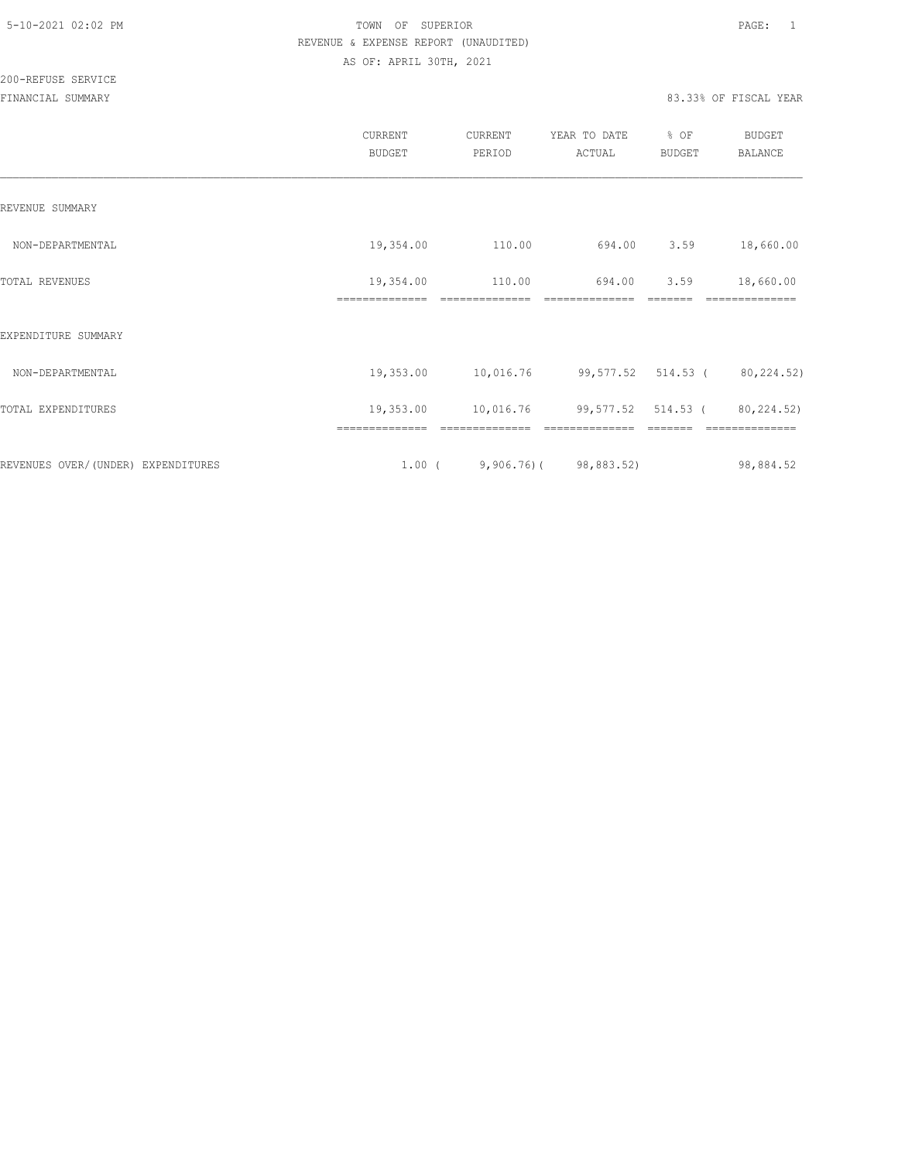200-REFUSE SERVICE

|                                     | CURRENT<br><b>BUDGET</b>    | CURRENT<br>PERIOD | YEAR TO DATE<br>ACTUAL          | % OF<br><b>BUDGET</b> | <b>BUDGET</b><br><b>BALANCE</b> |
|-------------------------------------|-----------------------------|-------------------|---------------------------------|-----------------------|---------------------------------|
| REVENUE SUMMARY                     |                             |                   |                                 |                       |                                 |
| NON-DEPARTMENTAL                    | 19,354.00                   | 110.00            | 694.00                          | 3.59                  | 18,660.00                       |
| TOTAL REVENUES                      | 19,354.00<br>============== | 110.00            | 694.00<br>--------------        | 3.59                  | 18,660.00                       |
| EXPENDITURE SUMMARY                 |                             |                   |                                 |                       |                                 |
| NON-DEPARTMENTAL                    | 19,353.00                   | 10,016.76         | 99,577.52 514.53 (80,224.52)    |                       |                                 |
| TOTAL EXPENDITURES                  | 19,353.00                   | 10,016.76         | 99,577.52 514.53 (              |                       | 80,224.52)                      |
| REVENUES OVER/ (UNDER) EXPENDITURES |                             |                   | $1.00$ ( 9,906.76) ( 98,883.52) |                       | 98,884.52                       |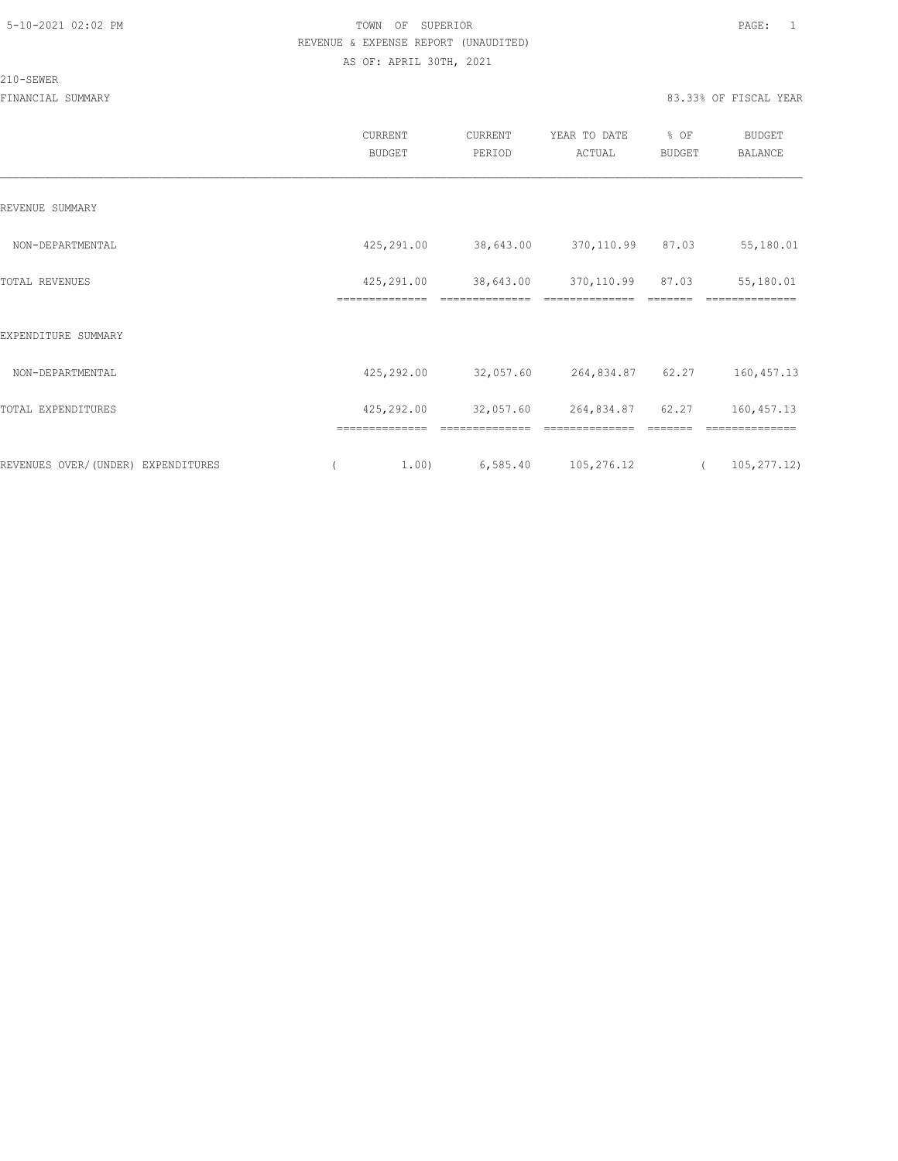#### 210-SEWER

|                                    | CURRENT<br><b>BUDGET</b>     | CURRENT<br>PERIOD           | YEAR TO DATE<br>ACTUAL       | % OF<br><b>BUDGET</b> | <b>BUDGET</b><br>BALANCE |
|------------------------------------|------------------------------|-----------------------------|------------------------------|-----------------------|--------------------------|
| REVENUE SUMMARY                    |                              |                             |                              |                       |                          |
| NON-DEPARTMENTAL                   | 425,291.00                   | 38,643.00                   | 370,110.99 87.03             |                       | 55,180.01                |
| TOTAL REVENUES                     | 425,291.00<br>============== | 38,643.00<br>============== | 370,110.99<br>============== | 87.03                 | 55,180.01<br>==========  |
| EXPENDITURE SUMMARY                |                              |                             |                              |                       |                          |
| NON-DEPARTMENTAL                   | 425,292.00                   | 32,057.60                   | 264,834.87 62.27             |                       | 160, 457.13              |
| TOTAL EXPENDITURES                 | 425,292.00                   | 32,057.60                   | 264,834.87                   | 62.27                 | 160, 457. 13             |
| REVENUES OVER/(UNDER) EXPENDITURES | 1.00)                        | 6,585.40                    | 105,276.12                   |                       | 105, 277.12)             |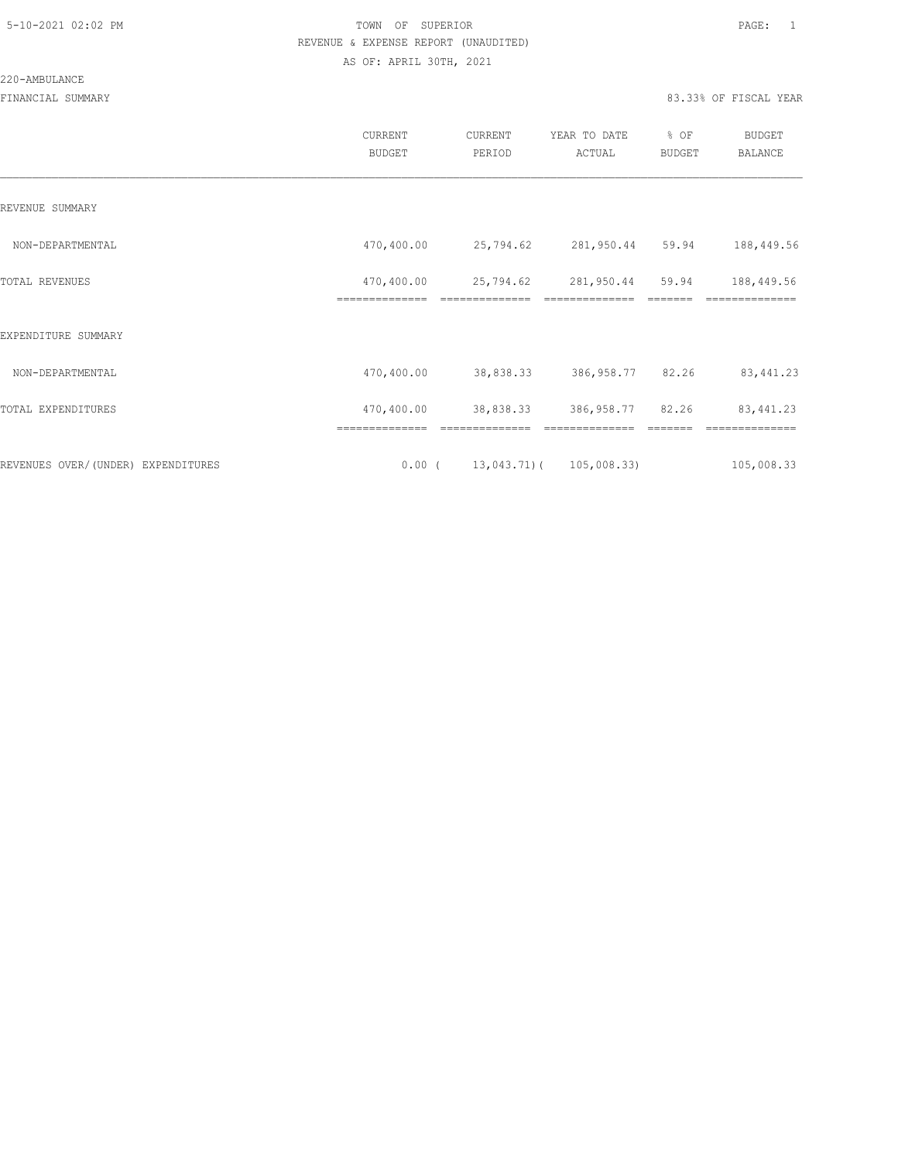#### 220-AMBULANCE

|                                    | <b>CURRENT</b><br><b>BUDGET</b> | CURRENT<br>PERIOD           | YEAR TO DATE<br>ACTUAL       | % OF<br><b>BUDGET</b> | <b>BUDGET</b><br><b>BALANCE</b> |
|------------------------------------|---------------------------------|-----------------------------|------------------------------|-----------------------|---------------------------------|
| REVENUE SUMMARY                    |                                 |                             |                              |                       |                                 |
| NON-DEPARTMENTAL                   | 470,400.00                      | 25,794.62                   | 281,950.44                   | 59.94                 | 188,449.56                      |
| TOTAL REVENUES                     | 470,400.00<br>==============    | 25,794.62<br>============== | 281,950.44                   | 59.94                 | 188,449.56<br>==============    |
| EXPENDITURE SUMMARY                |                                 |                             |                              |                       |                                 |
| NON-DEPARTMENTAL                   | 470,400.00                      | 38,838.33                   | 386,958.77 82.26             |                       | 83, 441.23                      |
| TOTAL EXPENDITURES                 | 470,400.00                      | 38,838.33                   | 386,958.77 82.26             |                       | 83, 441.23                      |
|                                    | ==============                  | ==============              | ==============               |                       | ==============                  |
| REVENUES OVER/(UNDER) EXPENDITURES | $0.00$ (                        |                             | $13,043.71$ ( $105,008.33$ ) |                       | 105,008.33                      |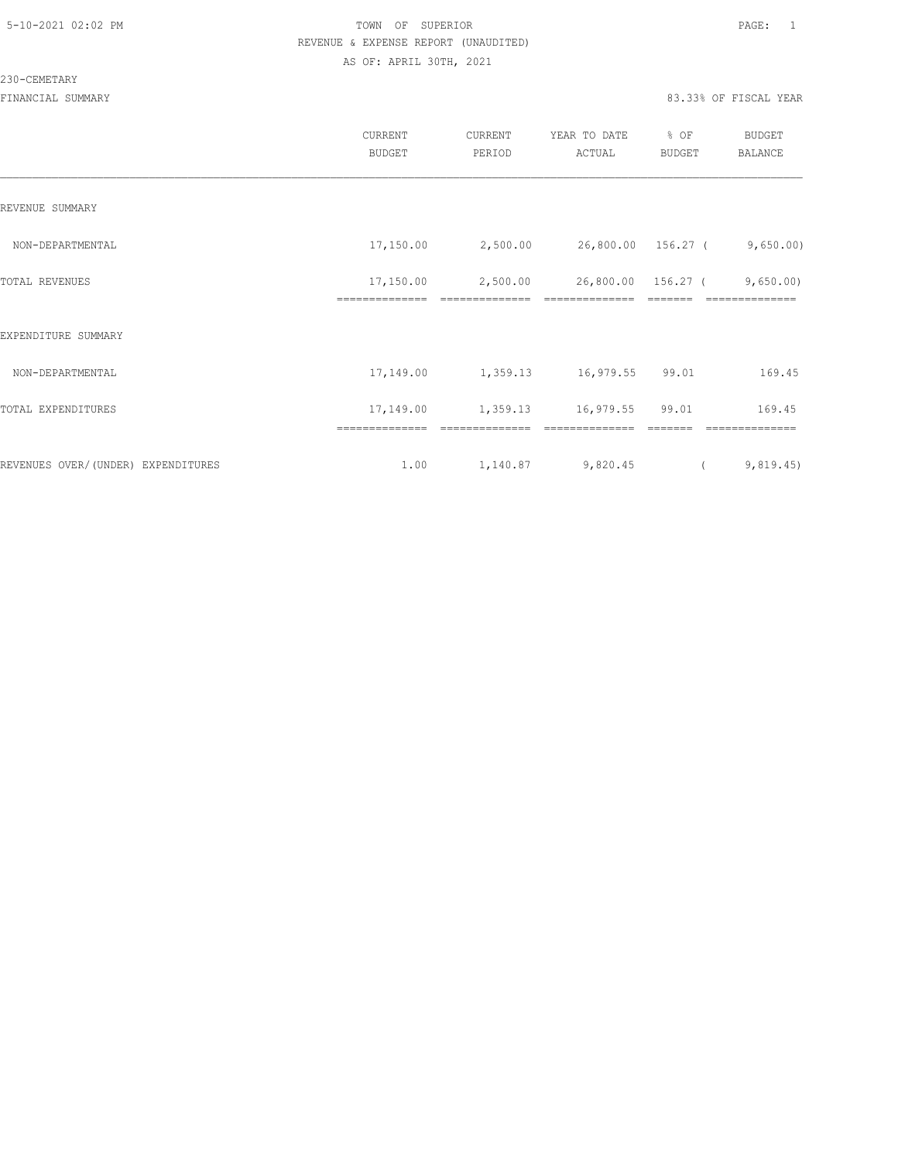#### 230-CEMETARY

|                                    | CURRENT<br><b>BUDGET</b>    | CURRENT<br>PERIOD | YEAR TO DATE<br>ACTUAL | % OF<br><b>BUDGET</b> | <b>BUDGET</b><br>BALANCE |
|------------------------------------|-----------------------------|-------------------|------------------------|-----------------------|--------------------------|
| REVENUE SUMMARY                    |                             |                   |                        |                       |                          |
| NON-DEPARTMENTAL                   | 17,150.00                   | 2,500.00          | 26,800.00 156.27 (     |                       | 9,650.00)                |
| TOTAL REVENUES                     | 17,150.00<br>============== | 2,500.00          | 26,800.00              | 156.27 (              | 9,650.00<br>==========   |
| EXPENDITURE SUMMARY                |                             |                   |                        |                       |                          |
| NON-DEPARTMENTAL                   | 17,149.00                   | 1,359.13          | 16,979.55 99.01        |                       | 169.45                   |
| TOTAL EXPENDITURES                 | 17,149.00                   | 1,359.13          | 16,979.55              | 99.01                 | 169.45                   |
|                                    | ==============              | ==============    |                        |                       | ______________           |
| REVENUES OVER/(UNDER) EXPENDITURES | 1.00                        | 1,140.87          | 9,820.45               | $\sqrt{2}$            | 9,819.45)                |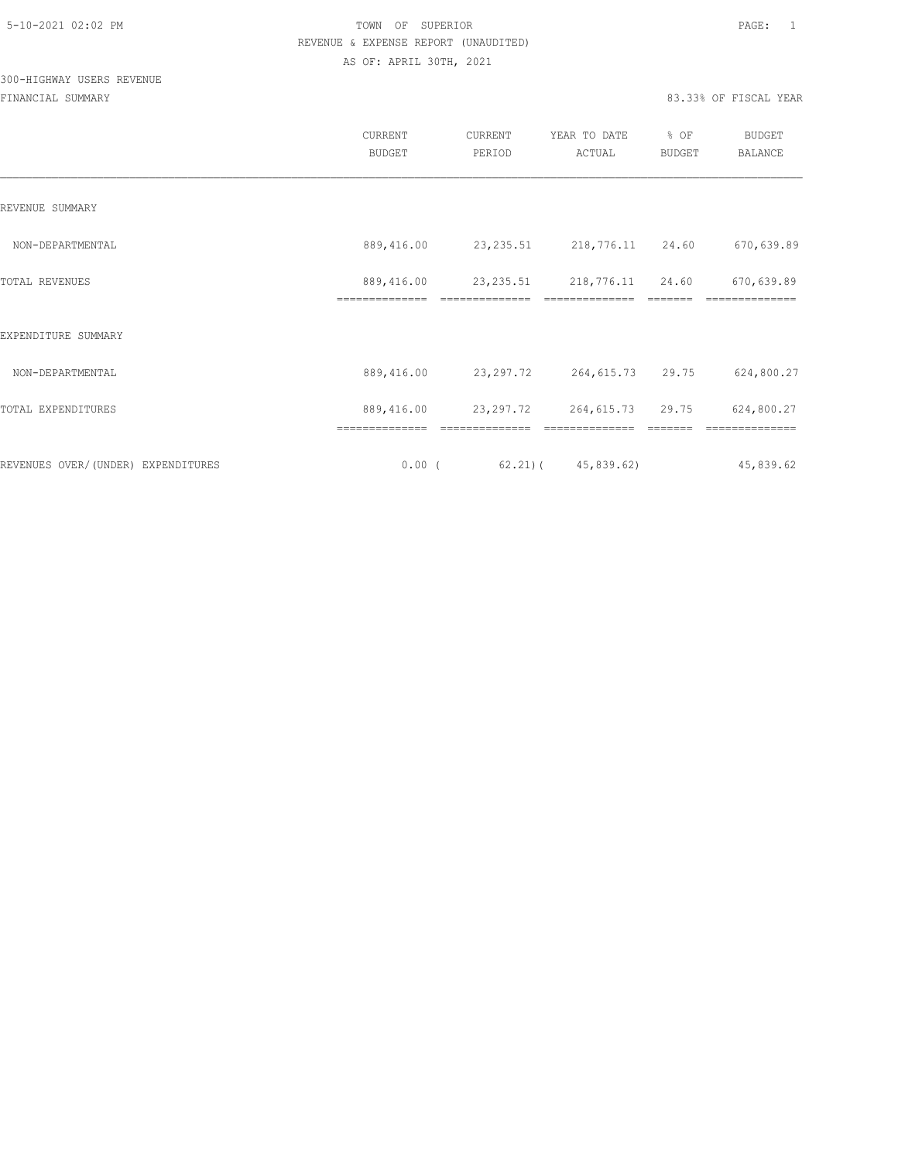## 300-HIGHWAY USERS REVENUE

|                                     | CURRENT<br><b>BUDGET</b>     | CURRENT<br>PERIOD            | YEAR TO DATE<br>ACTUAL             | % OF<br>BUDGET | <b>BUDGET</b><br>BALANCE |
|-------------------------------------|------------------------------|------------------------------|------------------------------------|----------------|--------------------------|
| REVENUE SUMMARY                     |                              |                              |                                    |                |                          |
| NON-DEPARTMENTAL                    | 889,416.00                   | 23, 235.51                   | 218,776.11 24.60                   |                | 670,639.89               |
| TOTAL REVENUES                      | 889,416.00<br>============== | 23, 235.51<br>============== | 218,776.11 24.60<br>============== |                | 670,639.89<br>========== |
| EXPENDITURE SUMMARY                 |                              |                              |                                    |                |                          |
| NON-DEPARTMENTAL                    | 889,416.00                   | 23, 297. 72                  | 264,615.73                         | 29.75          | 624,800.27               |
| TOTAL EXPENDITURES                  | 889,416.00                   | 23, 297. 72                  | 264,615.73                         | 29.75          | 624,800.27               |
|                                     | ==============               |                              |                                    |                |                          |
| REVENUES OVER/ (UNDER) EXPENDITURES | 0.00(                        |                              | $62.21$ ( $45,839.62$ )            |                | 45,839.62                |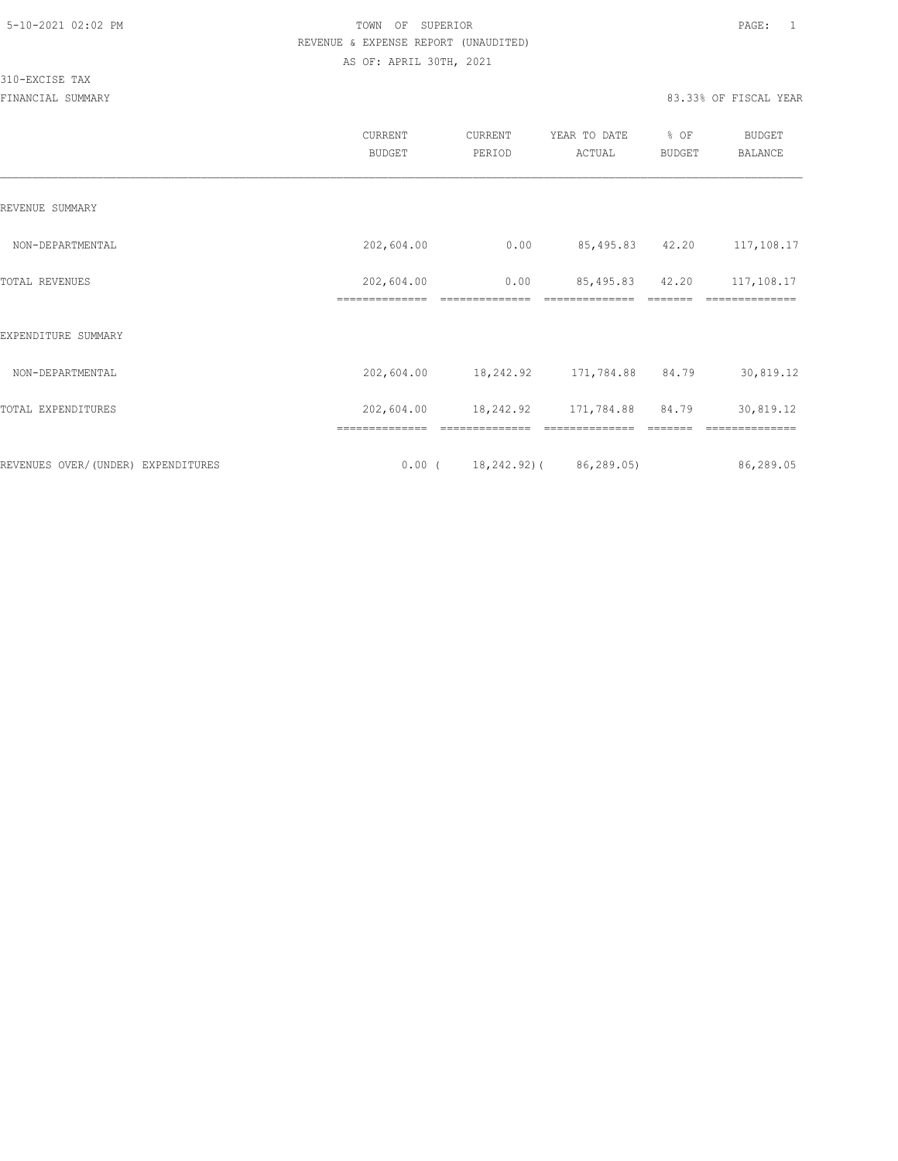310-EXCISE TAX

|                                    | CURRENT<br><b>BUDGET</b>     | CURRENT<br>PERIOD      | YEAR TO DATE<br>ACTUAL            | % OF<br><b>BUDGET</b> | <b>BUDGET</b><br><b>BALANCE</b> |
|------------------------------------|------------------------------|------------------------|-----------------------------------|-----------------------|---------------------------------|
| REVENUE SUMMARY                    |                              |                        |                                   |                       |                                 |
| NON-DEPARTMENTAL                   | 202,604.00                   | 0.00                   | 85,495.83 42.20                   |                       | 117,108.17                      |
| <b>TOTAL REVENUES</b>              | 202,604.00<br>============== | 0.00<br>============== | 85,495.83 42.20<br>============== |                       | 117,108.17<br>==========        |
| EXPENDITURE SUMMARY                |                              |                        |                                   |                       |                                 |
| NON-DEPARTMENTAL                   | 202,604.00                   |                        | 18,242.92 171,784.88 84.79        |                       | 30,819.12                       |
| TOTAL EXPENDITURES                 | 202,604.00                   |                        | 18,242.92 171,784.88              | 84.79                 | 30,819.12                       |
| REVENUES OVER/(UNDER) EXPENDITURES | ==============<br>$0.00$ (   |                        | 18,242.92) ( 86,289.05)           |                       | 86,289.05                       |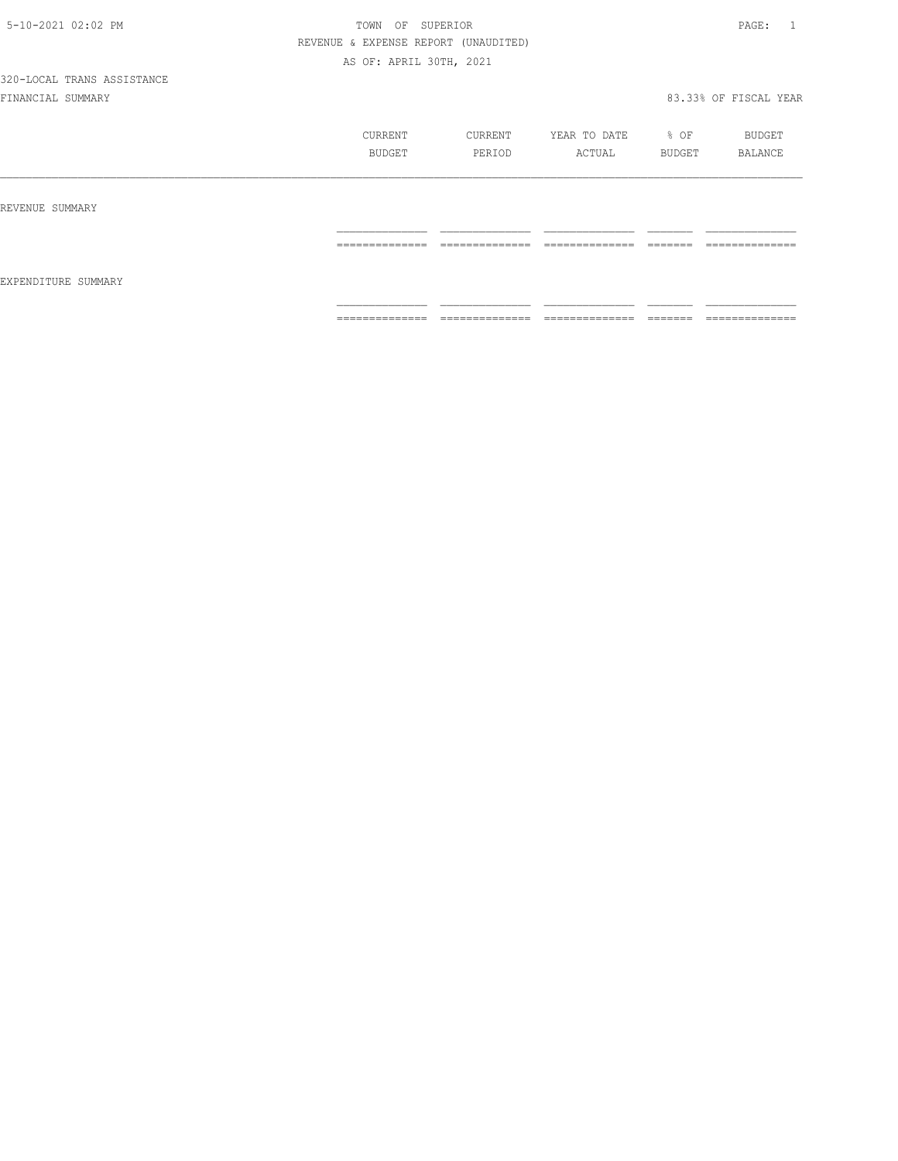|                     | CURRENT<br>BUDGET   | CURRENT<br>PERIOD               | YEAR TO DATE<br>ACTUAL          | % OF<br>BUDGET      | BUDGET<br>BALANCE              |
|---------------------|---------------------|---------------------------------|---------------------------------|---------------------|--------------------------------|
| REVENUE SUMMARY     |                     |                                 |                                 |                     |                                |
|                     | ______________<br>. | ______________<br>------------- | ______________<br>------------- | ________<br>======  | ______________<br>------------ |
| EXPENDITURE SUMMARY |                     |                                 |                                 |                     |                                |
|                     | ==============      | ==============                  | ==============                  | ________<br>------- | ==============                 |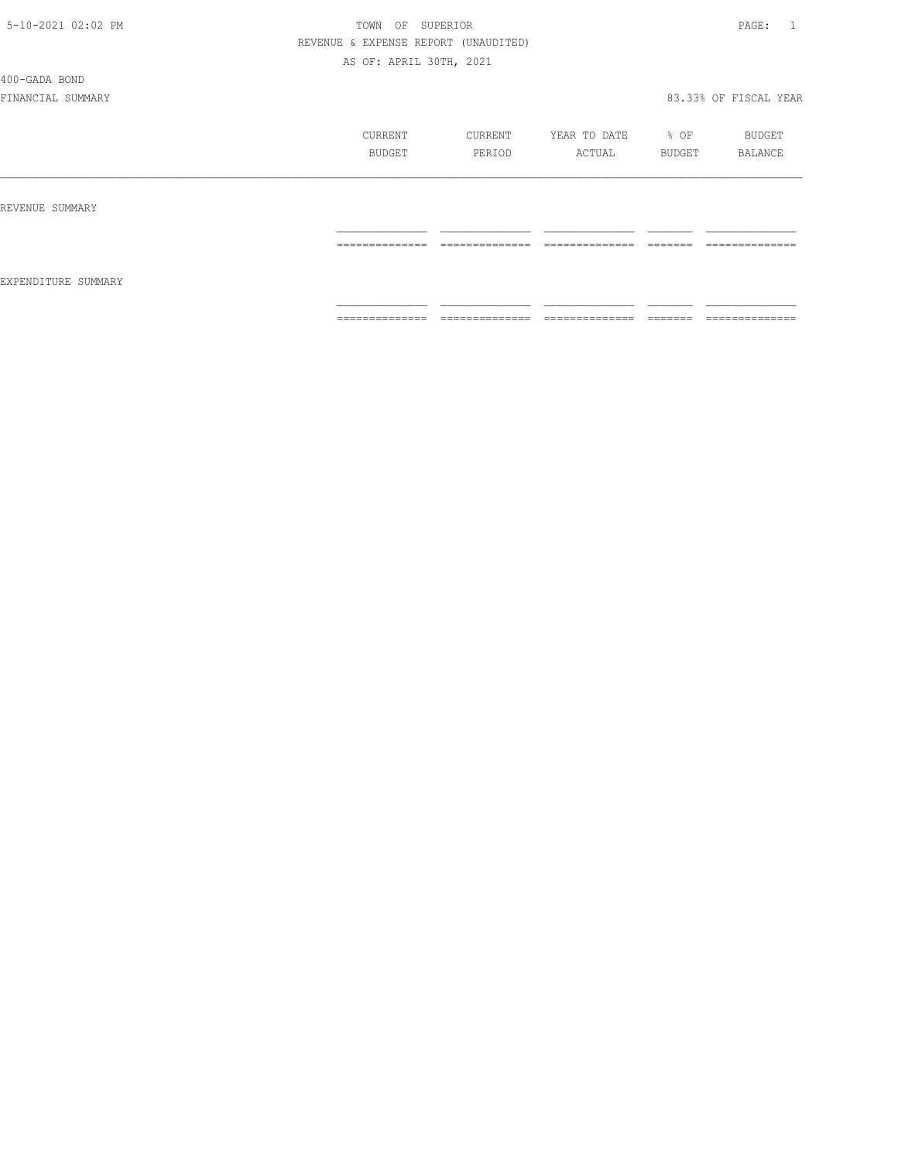400-GADA BOND

|                     | CURRENT<br>BUDGET | CURRENT<br>PERIOD                 | YEAR TO DATE<br>ACTUAL             | % OF<br>BUDGET      | BUDGET<br>BALANCE                 |
|---------------------|-------------------|-----------------------------------|------------------------------------|---------------------|-----------------------------------|
| REVENUE SUMMARY     |                   |                                   |                                    |                     |                                   |
| EXPENDITURE SUMMARY | ==============    | ==============                    | ==============                     | <b>EEEEEE</b>       | --------------<br>--------------- |
|                     | ==============    | --------------<br>--------------- | ---------------<br>--------------- | --------<br>------- | --------------<br>--------------- |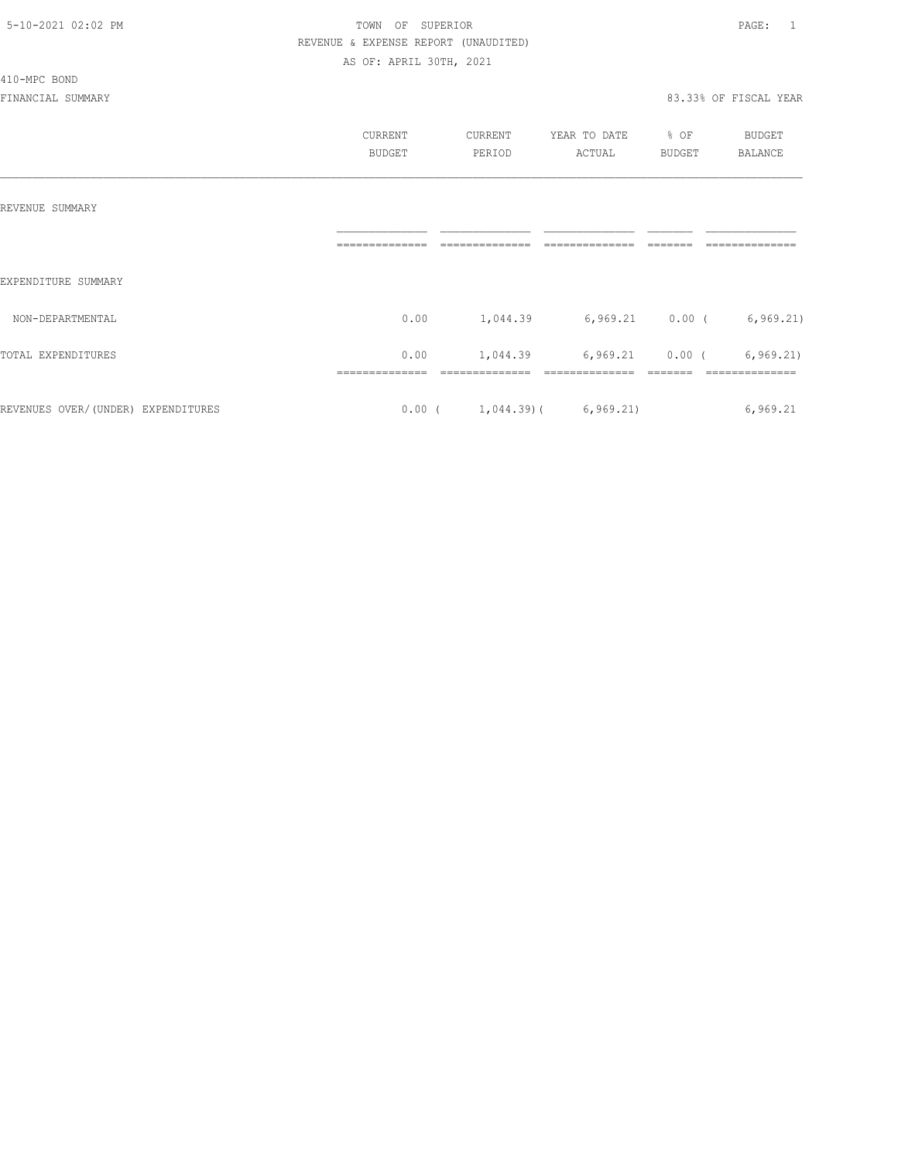#### 410-MPC BOND

|                                    | CURRENT<br><b>BUDGET</b> | CURRENT<br>PERIOD              | YEAR TO DATE<br>ACTUAL      | % OF<br><b>BUDGET</b> | BUDGET<br><b>BALANCE</b> |
|------------------------------------|--------------------------|--------------------------------|-----------------------------|-----------------------|--------------------------|
| REVENUE SUMMARY                    |                          |                                |                             |                       |                          |
| EXPENDITURE SUMMARY                |                          |                                |                             |                       |                          |
| NON-DEPARTMENTAL                   | 0.00                     | 1,044.39                       | $6,969.21$ 0.00 ( 6,969.21) |                       |                          |
| TOTAL EXPENDITURES                 | 0.00                     | 1,044.39                       | $6,969.21$ 0.00 (           |                       | 6, 969.21                |
| REVENUES OVER/(UNDER) EXPENDITURES |                          | $0.00$ ( 1,044.39) ( 6,969.21) |                             |                       | 6,969.21                 |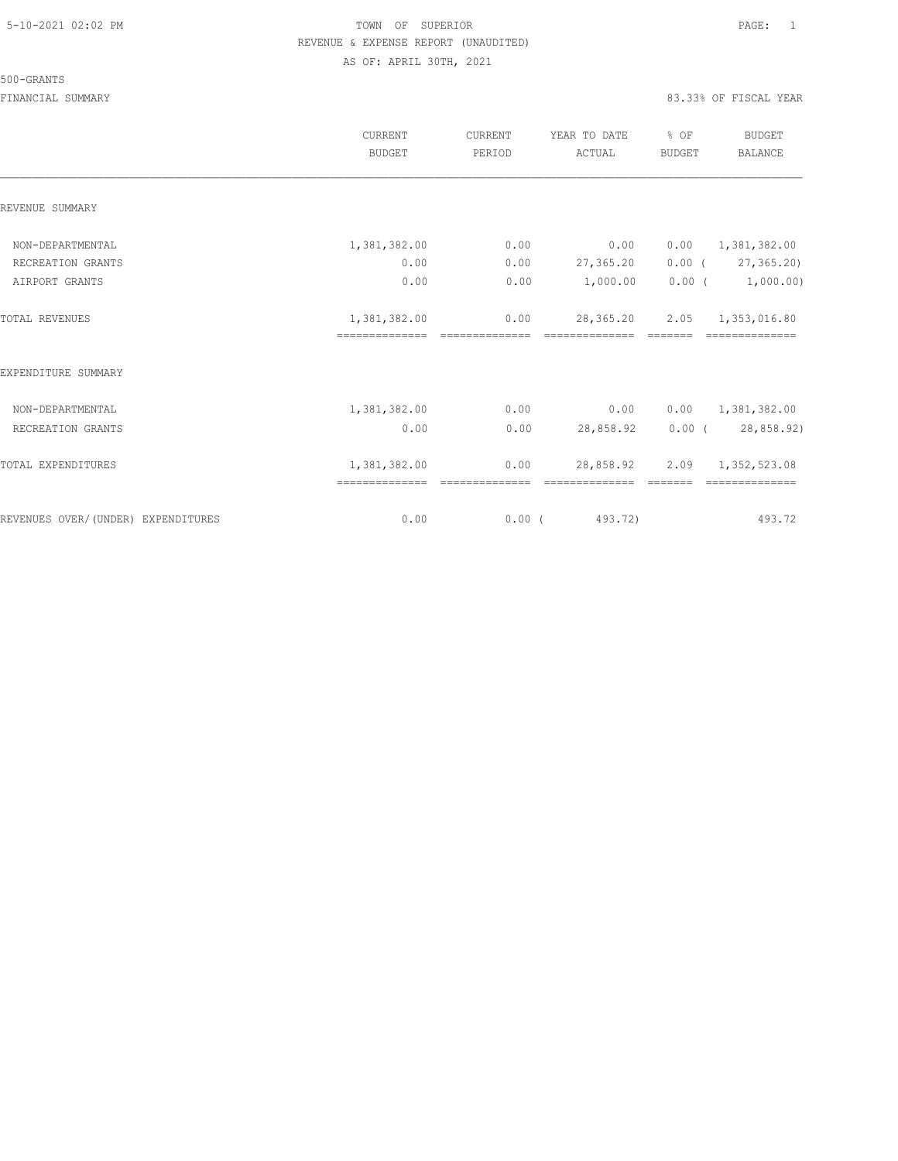#### 500-GRANTS

|                                    | <b>CURRENT</b><br><b>BUDGET</b> | CURRENT<br>PERIOD | YEAR TO DATE<br>ACTUAL      | % OF<br><b>BUDGET</b> | <b>BUDGET</b><br><b>BALANCE</b> |
|------------------------------------|---------------------------------|-------------------|-----------------------------|-----------------------|---------------------------------|
| REVENUE SUMMARY                    |                                 |                   |                             |                       |                                 |
| NON-DEPARTMENTAL                   | 1,381,382.00                    | 0.00              | 0.00                        |                       | $0.00 \qquad 1,381,382.00$      |
| RECREATION GRANTS                  | 0.00                            | 0.00              | 27,365.20                   |                       | $0.00$ ( $27,365.20$ )          |
| AIRPORT GRANTS                     | 0.00                            | 0.00              | 1,000.00                    |                       | $0.00$ ( $1,000.00$ )           |
| TOTAL REVENUES                     | 1,381,382.00                    | 0.00              | 28,365.20                   |                       | 2.05 1,353,016.80               |
|                                    | =============================== |                   | ssessessessess.             | <b>CONSIDER</b>       | ==============                  |
| EXPENDITURE SUMMARY                |                                 |                   |                             |                       |                                 |
| NON-DEPARTMENTAL                   | 1,381,382.00                    | 0.00              | 0.00                        |                       | 0.00 1,381,382.00               |
| RECREATION GRANTS                  | 0.00                            | 0.00              | 28,858.92                   |                       | 0.00(28,858.92)                 |
| TOTAL EXPENDITURES                 | 1,381,382.00                    | 0.00              | 28,858.92<br>============== |                       | 2.09 1,352,523.08               |
| REVENUES OVER/(UNDER) EXPENDITURES | 0.00                            | $0.00$ (          | 493.72)                     |                       | 493.72                          |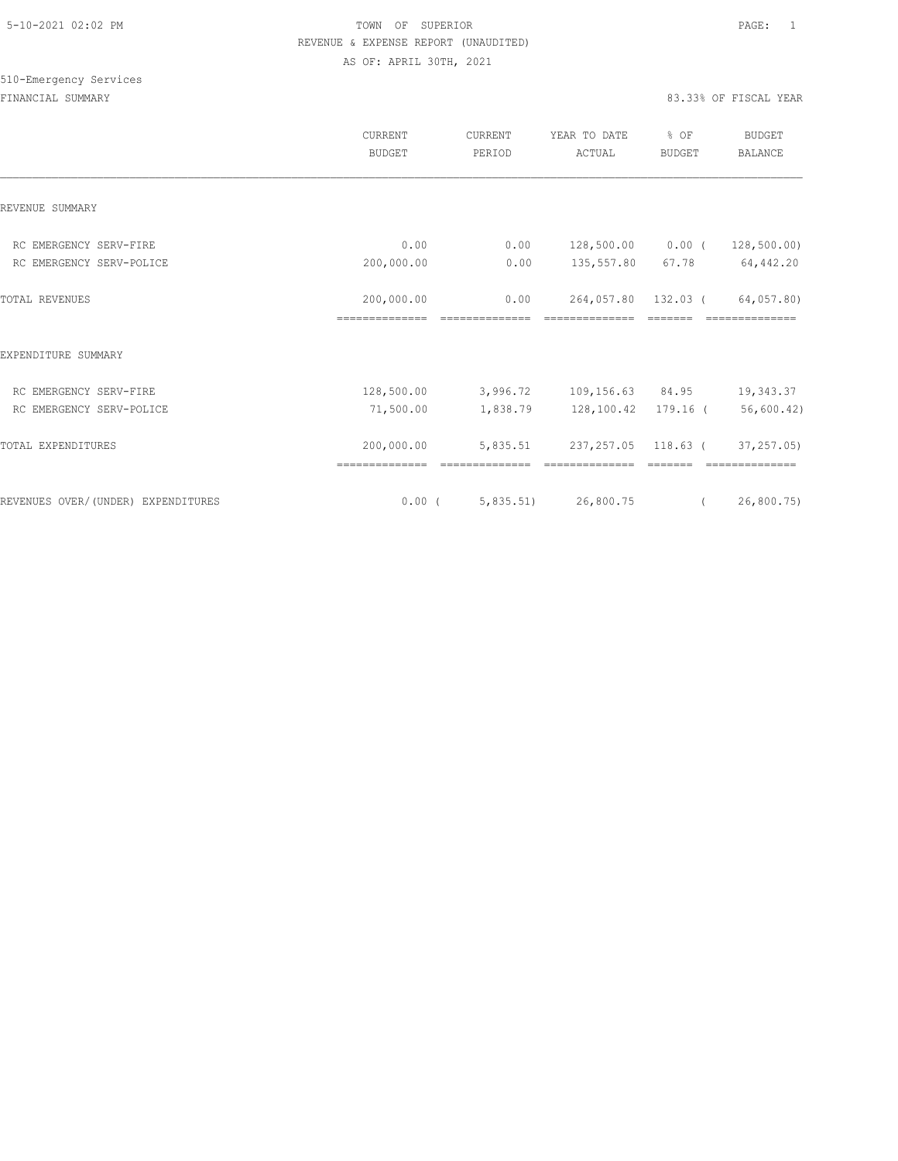## 510-Emergency Services

|                                    | <b>CURRENT</b><br><b>BUDGET</b> | CURRENT<br>PERIOD | YEAR TO DATE<br>ACTUAL    | % OF<br><b>BUDGET</b> | <b>BUDGET</b><br><b>BALANCE</b> |
|------------------------------------|---------------------------------|-------------------|---------------------------|-----------------------|---------------------------------|
| REVENUE SUMMARY                    |                                 |                   |                           |                       |                                 |
| RC EMERGENCY SERV-FIRE             | 0.00                            | 0.00              | 128,500.00 0.00 (         |                       | 128,500.00)                     |
| RC EMERGENCY SERV-POLICE           | 200,000.00                      | 0.00              | 135,557.80                | 67.78                 | 64,442.20                       |
| <b>TOTAL REVENUES</b>              | 200,000.00                      | 0.00              | 264,057.80                | 132.03 (              | 64,057.80)                      |
| EXPENDITURE SUMMARY                |                                 |                   |                           |                       |                                 |
| RC EMERGENCY SERV-FIRE             | 128,500.00                      |                   | 3,996.72 109,156.63 84.95 |                       | 19,343.37                       |
| RC EMERGENCY SERV-POLICE           | 71,500.00                       |                   |                           |                       | 56,600.42)                      |
| TOTAL EXPENDITURES                 | 200,000.00<br>==============    | 5,835.51          | 237, 257.05               | 118.63 (              | 37,257.05)                      |
| REVENUES OVER/(UNDER) EXPENDITURES | $0.00$ (                        |                   | 5,835.51) 26,800.75       | $\sqrt{2}$            | 26,800.75)                      |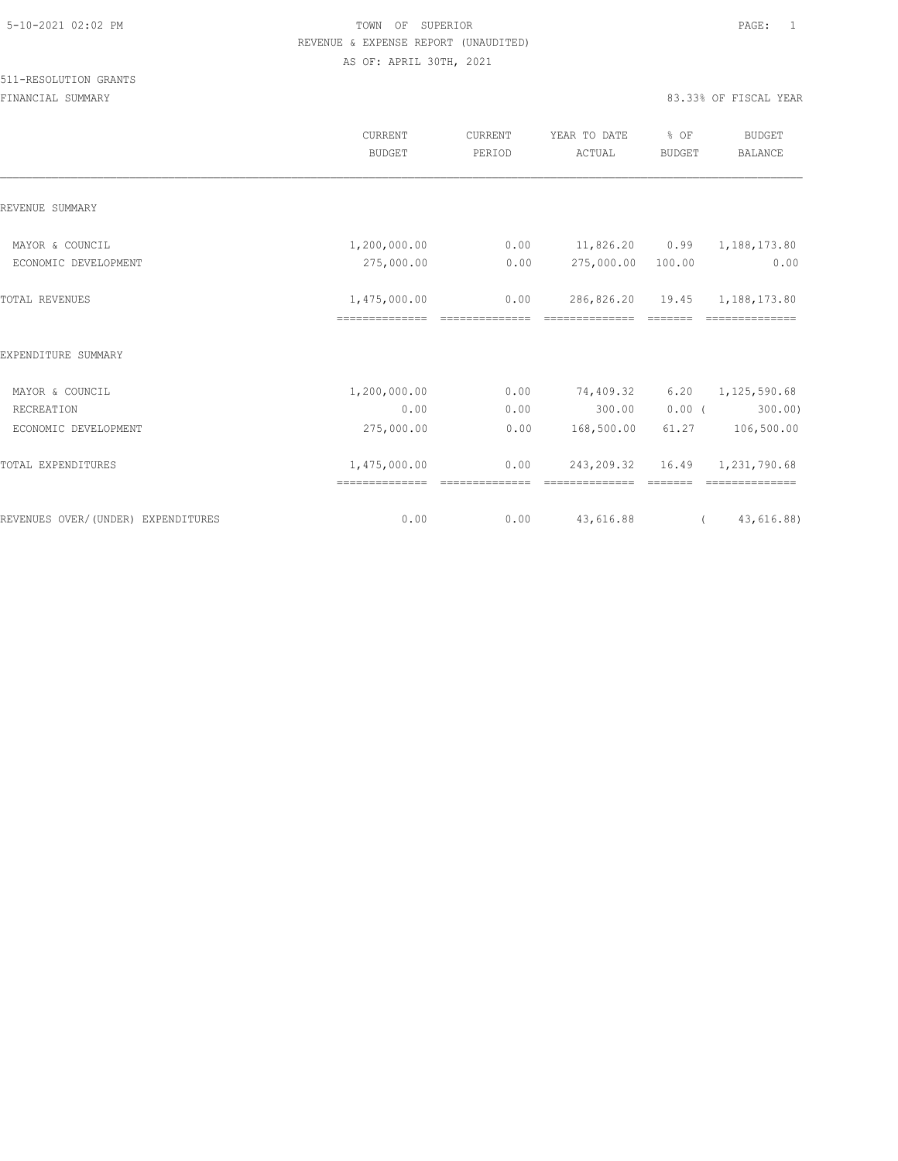|                                    | CURRENT<br><b>BUDGET</b> | CURRENT<br>PERIOD      | YEAR TO DATE<br>ACTUAL                          | % OF<br><b>BUDGET</b>   | <b>BUDGET</b><br><b>BALANCE</b>  |
|------------------------------------|--------------------------|------------------------|-------------------------------------------------|-------------------------|----------------------------------|
| REVENUE SUMMARY                    |                          |                        |                                                 |                         |                                  |
| MAYOR & COUNCIL                    | 1,200,000.00             | 0.00                   | $11,826.20$ 0.99                                |                         | 1,188,173.80                     |
| ECONOMIC DEVELOPMENT               | 275,000.00               | 0.00                   | 275,000.00 100.00                               |                         | 0.00                             |
| <b>TOTAL REVENUES</b>              | 1,475,000.00             | 0.00<br>============== | 286,826.20 19.45 1,188,173.80<br>============== | $=$ $=$ $=$ $=$ $=$ $=$ |                                  |
| EXPENDITURE SUMMARY                |                          |                        |                                                 |                         |                                  |
| MAYOR & COUNCIL                    | 1,200,000.00             | 0.00                   | 74,409.32                                       | 6.20                    | 1, 125, 590.68                   |
| RECREATION                         | 0.00                     | 0.00                   | 300.00                                          | $0.00$ (                | 300.00                           |
| ECONOMIC DEVELOPMENT               | 275,000.00               | 0.00                   | 168,500.00                                      | 61.27                   | 106,500.00                       |
| TOTAL EXPENDITURES                 | 1,475,000.00             | 0.00                   |                                                 |                         | 243, 209.32 16.49 1, 231, 790.68 |
| REVENUES OVER/(UNDER) EXPENDITURES | 0.00                     | 0.00                   | 43,616.88                                       |                         | 43,616.88)<br>$\sqrt{2}$         |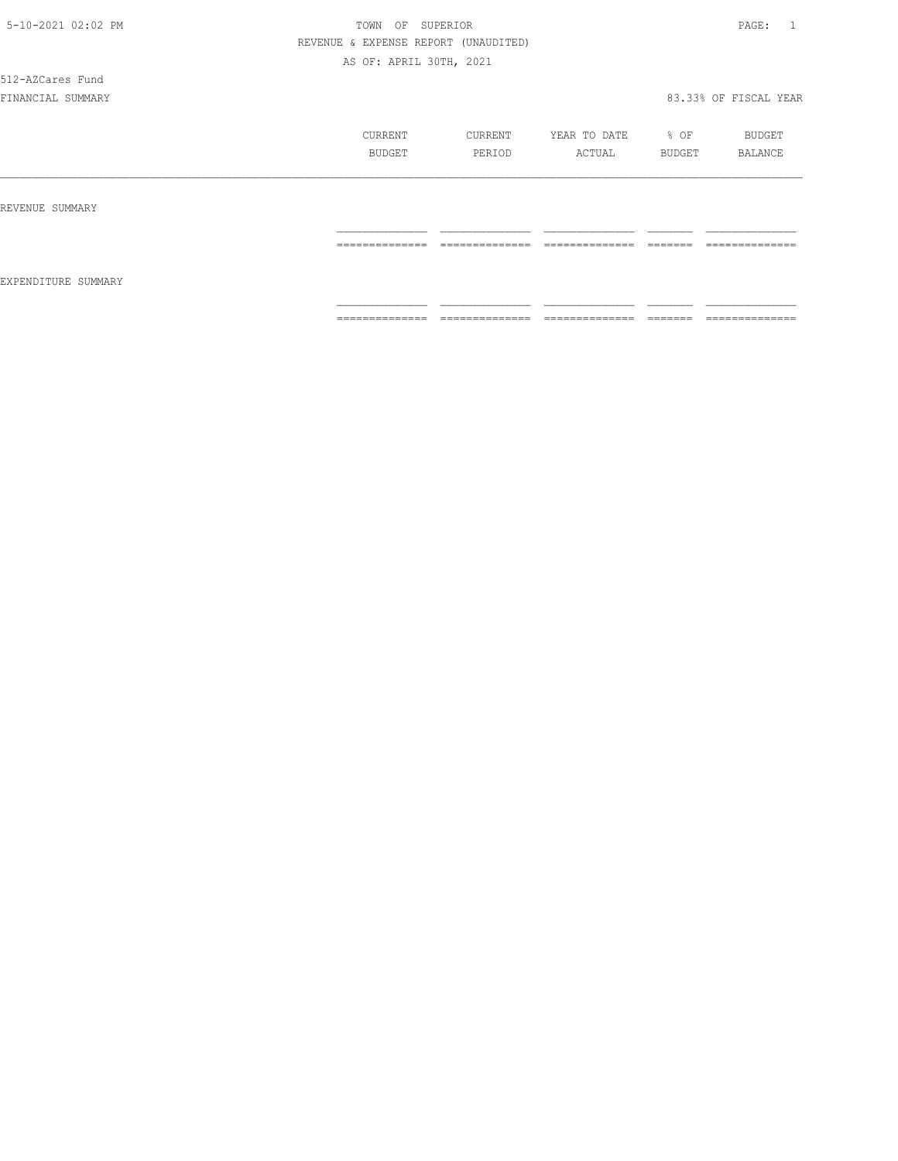512-AZCares Fund

|                     | CURRENT<br>BUDGET                  | CURRENT<br>PERIOD                 | YEAR TO DATE<br>ACTUAL             | % OF<br>BUDGET       | BUDGET<br>BALANCE                 |
|---------------------|------------------------------------|-----------------------------------|------------------------------------|----------------------|-----------------------------------|
| REVENUE SUMMARY     |                                    |                                   |                                    |                      |                                   |
|                     | ---------------<br>--------------- | ______________<br>--------------- | ---------------<br>--------------- | --------<br>-------  | _______________<br>-------------- |
| EXPENDITURE SUMMARY |                                    |                                   |                                    |                      |                                   |
|                     | ______________<br>.                | ______________<br>.               | ---------------<br>.               | --------<br>________ | ______________<br>.               |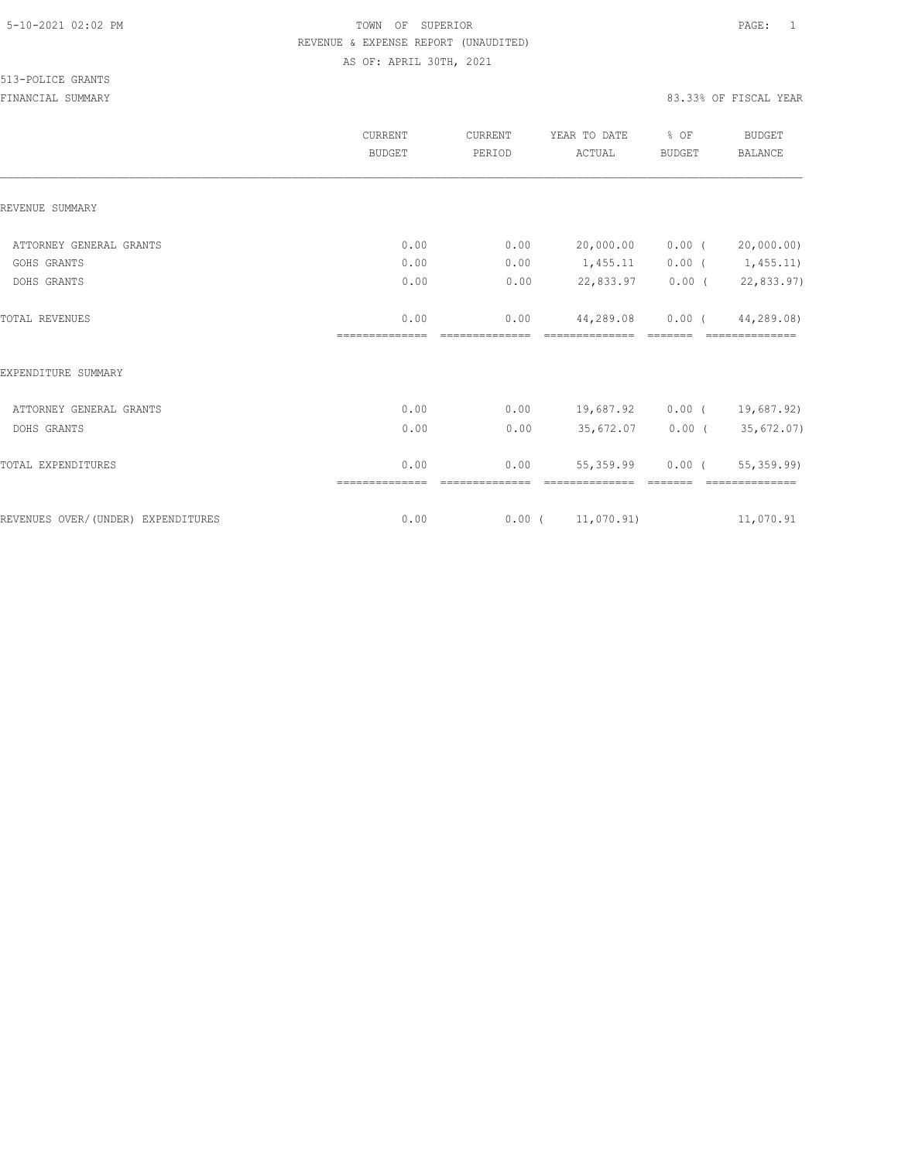|                                    | CURRENT<br><b>BUDGET</b> | CURRENT<br>PERIOD  | YEAR TO DATE<br>ACTUAL | % OF<br><b>BUDGET</b> | <b>BUDGET</b><br><b>BALANCE</b> |
|------------------------------------|--------------------------|--------------------|------------------------|-----------------------|---------------------------------|
| REVENUE SUMMARY                    |                          |                    |                        |                       |                                 |
| ATTORNEY GENERAL GRANTS            | 0.00                     | 0.00               | 20,000.00              | $0.00$ (              | 20,000.00)                      |
| GOHS GRANTS                        | 0.00                     | 0.00               | 1,455.11               |                       | $0.00$ ( $1,455.11$ )           |
| DOHS GRANTS                        | 0.00                     | 0.00               | 22,833.97              | $0.00$ (              | 22,833.97)                      |
| TOTAL REVENUES                     | 0.00                     | 0.00               | 44,289.08              | $0.00$ (              | 44,289.08)                      |
| EXPENDITURE SUMMARY                |                          |                    |                        |                       |                                 |
| ATTORNEY GENERAL GRANTS            | 0.00                     | 0.00               | 19,687.92              | $0.00$ (              | 19,687.92)                      |
| DOHS GRANTS                        | 0.00                     | 0.00               | 35,672.07              |                       | $0.00$ ( 35,672.07)             |
| TOTAL EXPENDITURES                 | 0.00                     | 0.00<br>========== | 55,359.99              | $0.00$ (              | 55,359.99)                      |
| REVENUES OVER/(UNDER) EXPENDITURES | 0.00                     |                    | $0.00$ ( $11,070.91$ ) |                       | 11,070.91                       |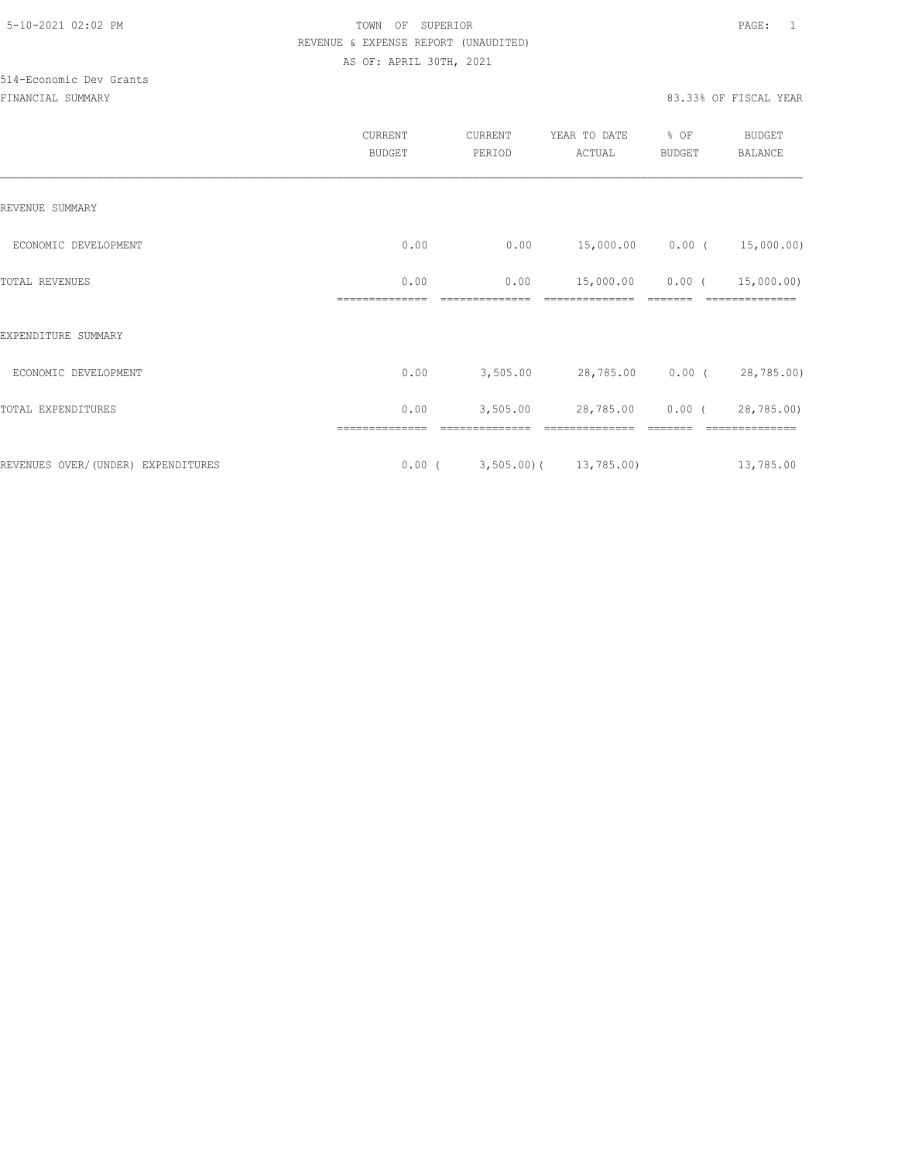# 514-Economic Dev Grants

|                                    | CURRENT<br><b>BUDGET</b> | CURRENT<br>PERIOD               | YEAR TO DATE<br>ACTUAL     | % OF<br><b>BUDGET</b> | <b>BUDGET</b><br><b>BALANCE</b> |
|------------------------------------|--------------------------|---------------------------------|----------------------------|-----------------------|---------------------------------|
| REVENUE SUMMARY                    |                          |                                 |                            |                       |                                 |
| ECONOMIC DEVELOPMENT               | 0.00                     | 0.00                            | 15,000.00 0.00 (           |                       | 15,000.00)                      |
| TOTAL REVENUES                     | 0.00                     | 0.00                            | 15,000.00                  | $0.00$ (              | 15,000.00)                      |
| EXPENDITURE SUMMARY                |                          |                                 |                            |                       |                                 |
| ECONOMIC DEVELOPMENT               | 0.00                     | 3,505.00                        | 28,785.00 0.00 (28,785.00) |                       |                                 |
| TOTAL EXPENDITURES                 | 0.00                     | 3,505.00                        | 28,785.00                  | $0.00$ (              | 28,785.00)                      |
| REVENUES OVER/(UNDER) EXPENDITURES |                          | $0.00$ ( 3,505.00) ( 13,785.00) |                            |                       | 13,785.00                       |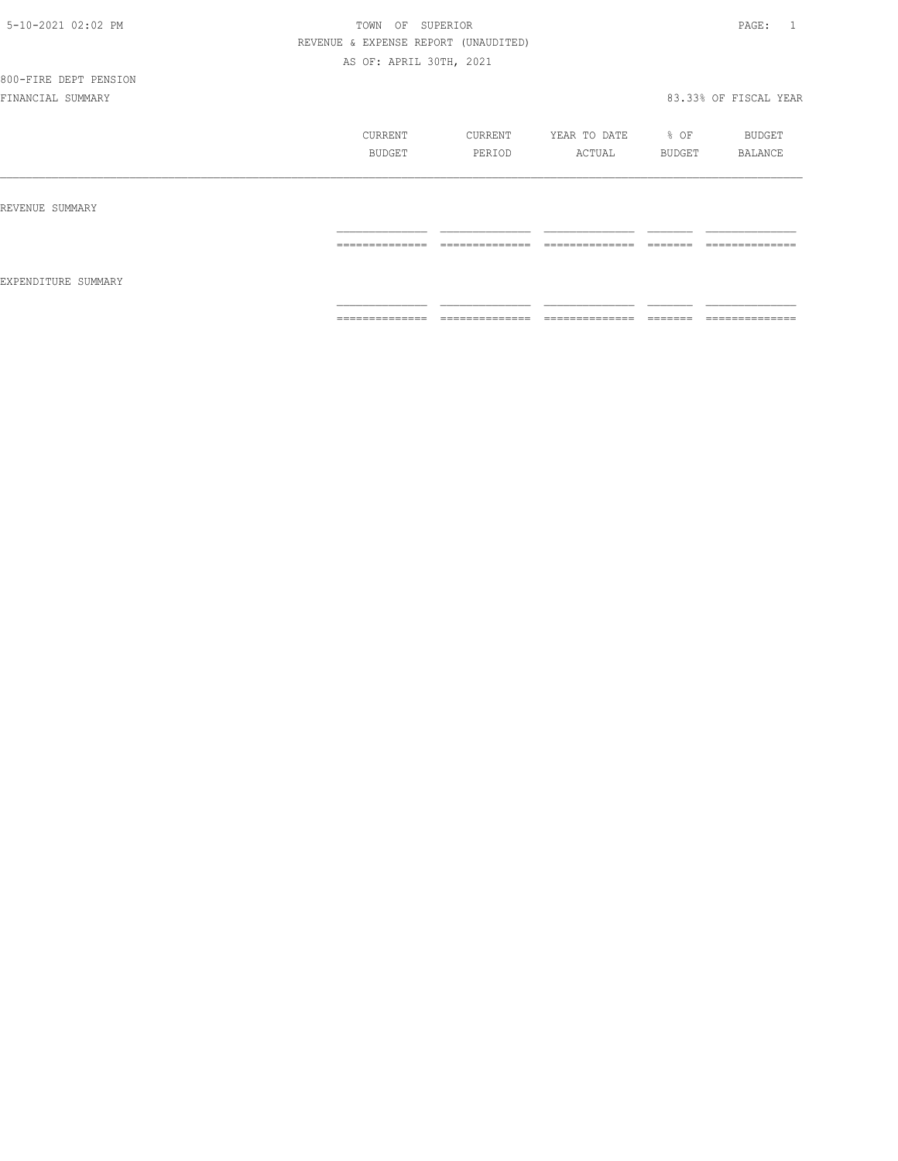800-FIRE DEPT PENSION

|                     | CURRENT<br>BUDGET | CURRENT<br>PERIOD | YEAR TO DATE<br>ACTUAL | % OF<br>BUDGET      | BUDGET<br>BALANCE |
|---------------------|-------------------|-------------------|------------------------|---------------------|-------------------|
| REVENUE SUMMARY     |                   |                   |                        |                     |                   |
| EXPENDITURE SUMMARY | ==============    | ==============    | ==============         | --------<br>------- | --------------    |
|                     | ==============    | ==============    | ==============         |                     | --------------    |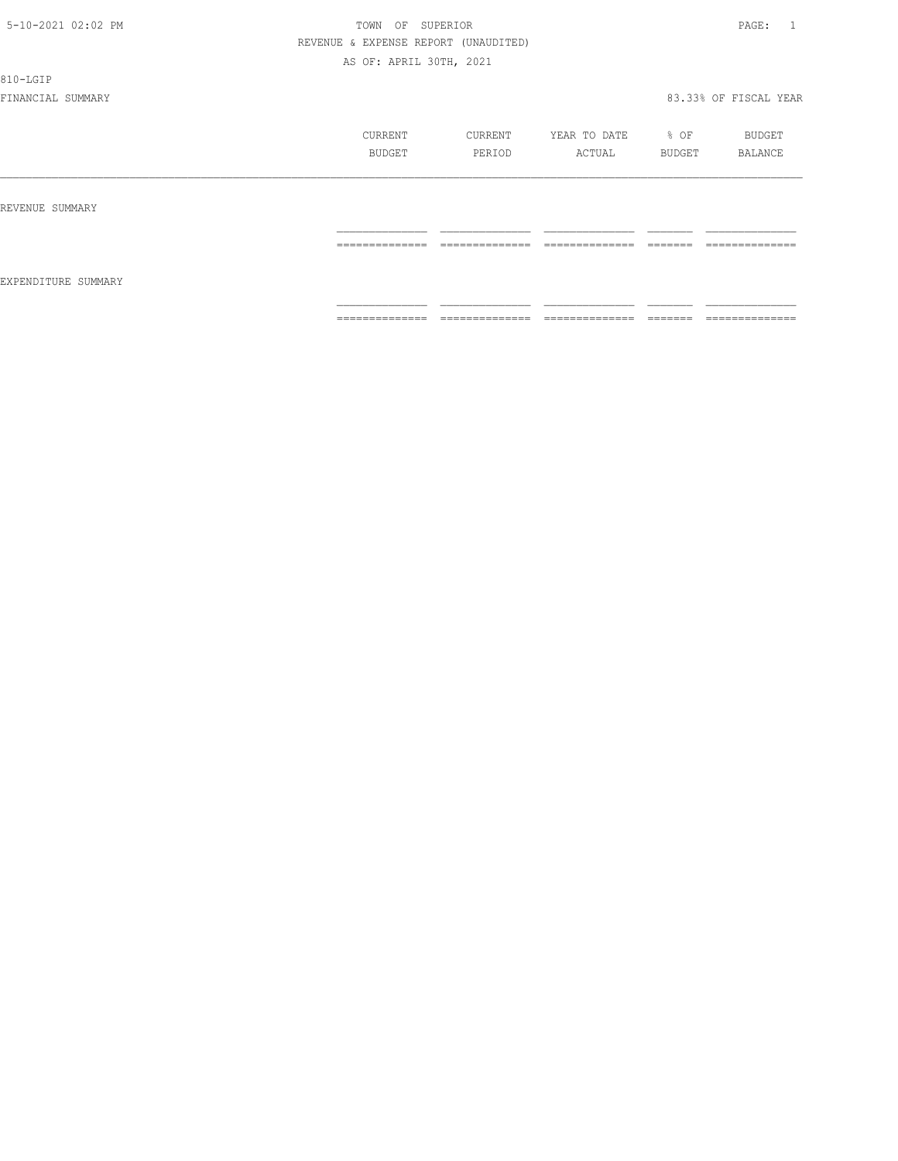810-LGIP

|                     | CURRENT<br>BUDGET | CURRENT<br>PERIOD                | YEAR TO DATE<br>ACTUAL | % OF<br>BUDGET       | BUDGET<br>BALANCE   |
|---------------------|-------------------|----------------------------------|------------------------|----------------------|---------------------|
| REVENUE SUMMARY     |                   |                                  |                        |                      |                     |
| EXPENDITURE SUMMARY | ==============    | --------------<br>______________ | ==============         | --------<br>_______  | ==============      |
|                     | ==============    | --------------<br>.              | ---------------<br>.   | --------<br>________ | --------------<br>. |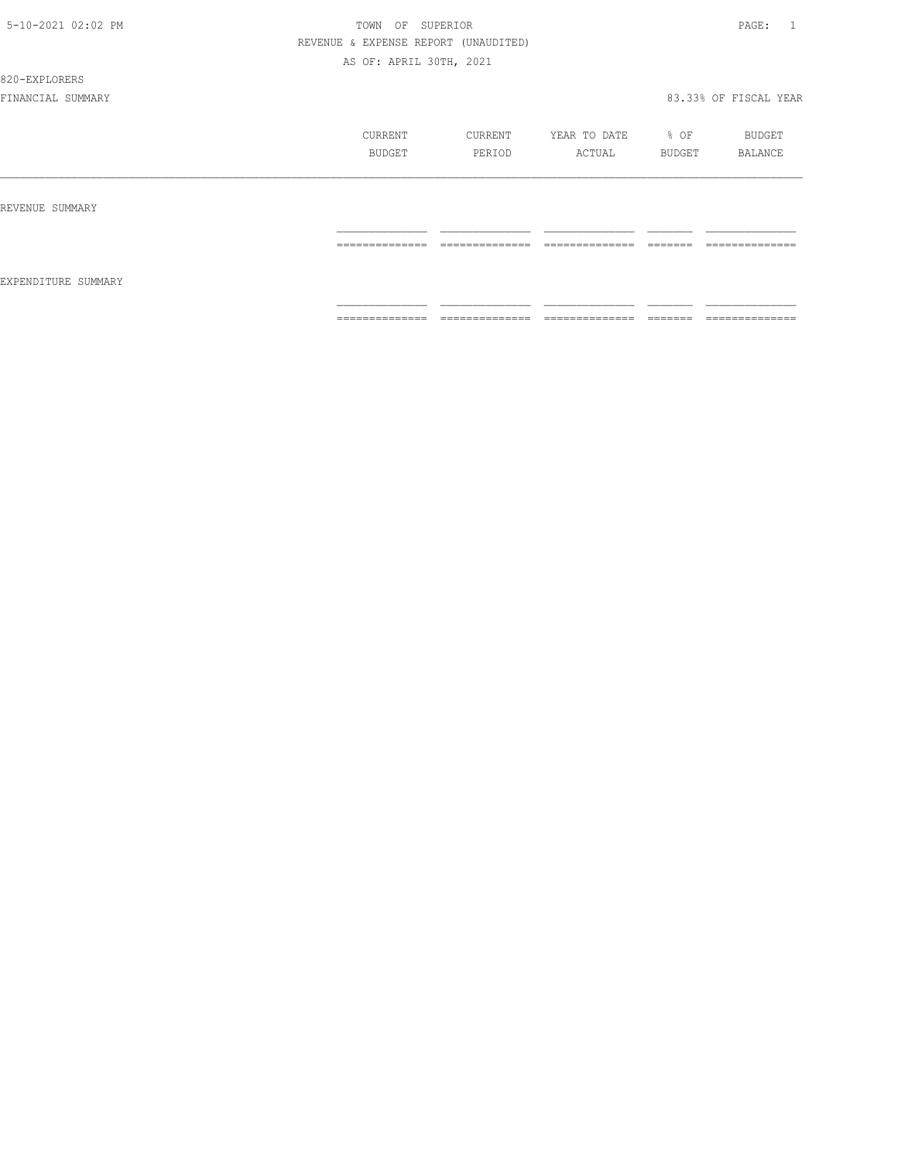820-EXPLORERS

|                     | CURRENT<br>BUDGET | CURRENT<br>PERIOD               | YEAR TO DATE<br>ACTUAL          | % OF<br>BUDGET      | BUDGET<br>BALANCE              |
|---------------------|-------------------|---------------------------------|---------------------------------|---------------------|--------------------------------|
| REVENUE SUMMARY     |                   |                                 |                                 |                     |                                |
|                     | ==============    | ______________<br>------------- | --------------<br>------------- | --------<br>======  | ______________<br>------------ |
| EXPENDITURE SUMMARY |                   |                                 |                                 |                     |                                |
|                     | ==============    | ==============                  | ==============                  | --------<br>------- | ==============                 |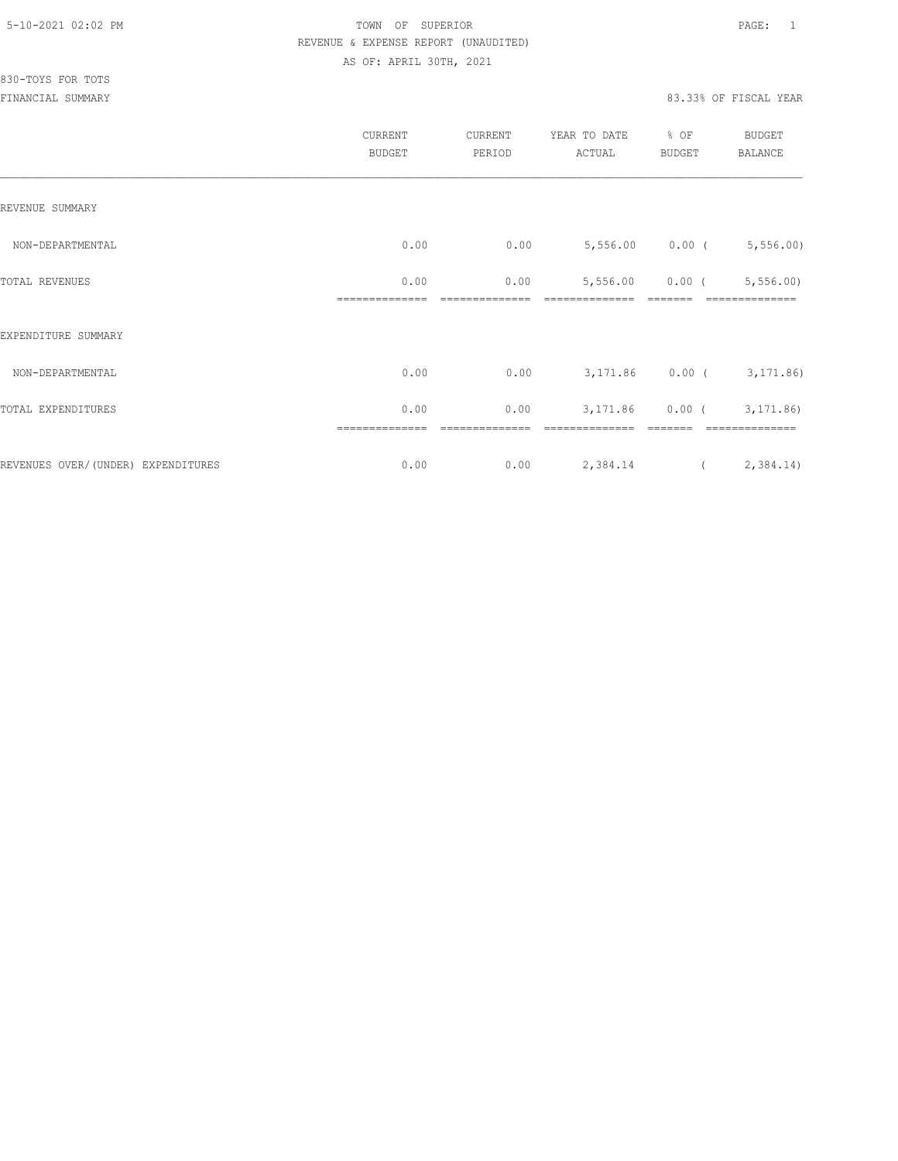|                                     | CURRENT<br><b>BUDGET</b> | CURRENT<br>PERIOD | YEAR TO DATE<br>ACTUAL | % OF<br>BUDGET | BUDGET<br>BALANCE          |
|-------------------------------------|--------------------------|-------------------|------------------------|----------------|----------------------------|
| REVENUE SUMMARY                     |                          |                   |                        |                |                            |
| NON-DEPARTMENTAL                    | 0.00                     | 0.00              |                        |                | $5,556.00$ 0.00 (5,556.00) |
| TOTAL REVENUES                      | 0.00                     | 0.00              | 5,556.00               | $0.00$ (       | 5, 556.00                  |
| EXPENDITURE SUMMARY                 |                          |                   |                        |                |                            |
| NON-DEPARTMENTAL                    | 0.00                     | 0.00              |                        |                | 3,171.86 0.00 (3,171.86)   |
| TOTAL EXPENDITURES                  | 0.00                     | 0.00              | 3,171.86               |                | $0.00$ ( $3,171.86$ )      |
| REVENUES OVER/ (UNDER) EXPENDITURES | ==============<br>0.00   | ========<br>0.00  | 2,384.14               | $\overline{a}$ | 2,384.14)                  |
|                                     |                          |                   |                        |                |                            |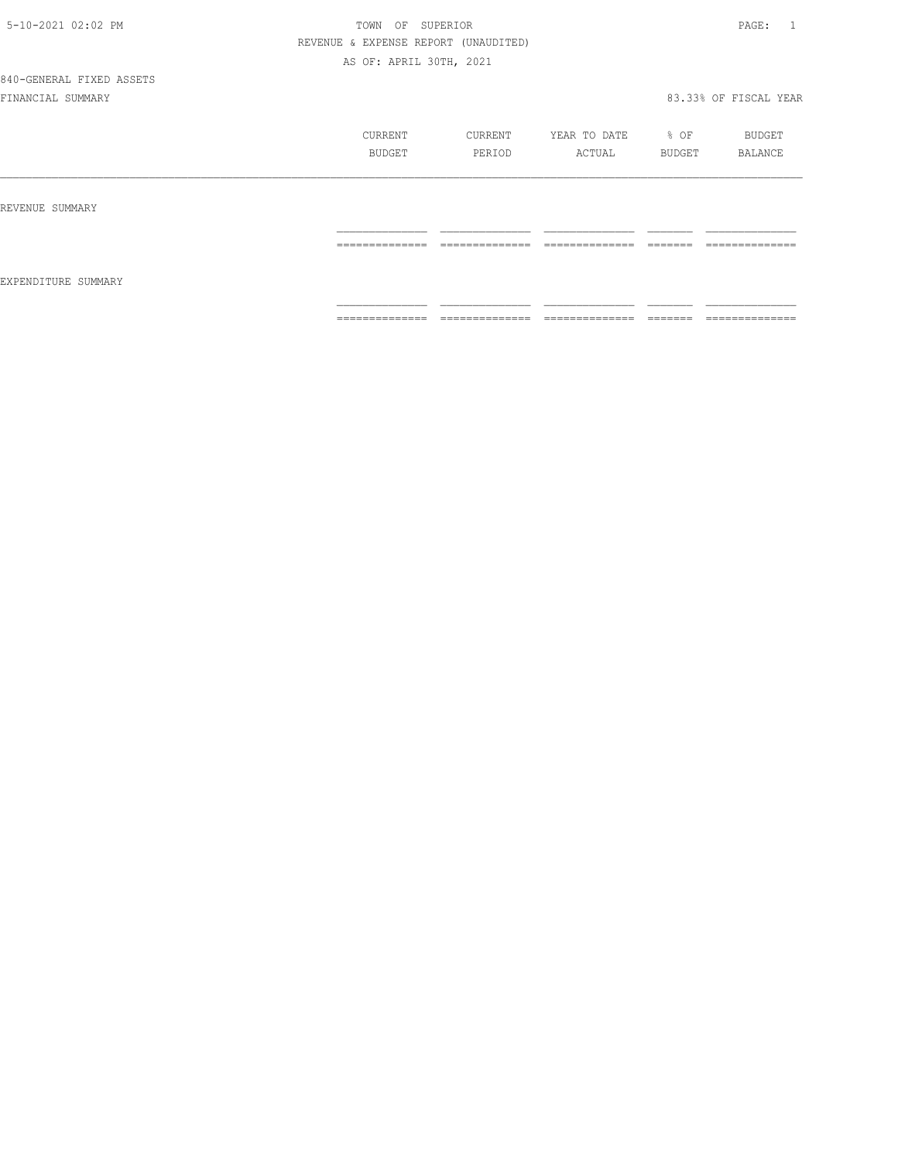840-GENERAL FIXED ASSETS

|                     | CURRENT<br>BUDGET                                                                                                                                                                                                                                                                                                                                                                                                                                                                            | CURRENT<br>PERIOD                 | YEAR TO DATE<br>ACTUAL                                                                                                                                                                                                                                                                                                                                                                                                                                                                 | % OF<br>BUDGET                                                                                                                                                                                                                                                                                                                                                                                                                                                                                                                                                    | BUDGET<br>BALANCE                 |
|---------------------|----------------------------------------------------------------------------------------------------------------------------------------------------------------------------------------------------------------------------------------------------------------------------------------------------------------------------------------------------------------------------------------------------------------------------------------------------------------------------------------------|-----------------------------------|----------------------------------------------------------------------------------------------------------------------------------------------------------------------------------------------------------------------------------------------------------------------------------------------------------------------------------------------------------------------------------------------------------------------------------------------------------------------------------------|-------------------------------------------------------------------------------------------------------------------------------------------------------------------------------------------------------------------------------------------------------------------------------------------------------------------------------------------------------------------------------------------------------------------------------------------------------------------------------------------------------------------------------------------------------------------|-----------------------------------|
| REVENUE SUMMARY     |                                                                                                                                                                                                                                                                                                                                                                                                                                                                                              |                                   |                                                                                                                                                                                                                                                                                                                                                                                                                                                                                        |                                                                                                                                                                                                                                                                                                                                                                                                                                                                                                                                                                   |                                   |
|                     | $\begin{array}{c} \multicolumn{2}{c} {\textbf{1}} & \multicolumn{2}{c} {\textbf{2}} & \multicolumn{2}{c} {\textbf{3}} & \multicolumn{2}{c} {\textbf{4}} \\ \multicolumn{2}{c} {\textbf{5}} & \multicolumn{2}{c} {\textbf{6}} & \multicolumn{2}{c} {\textbf{7}} & \multicolumn{2}{c} {\textbf{8}} & \multicolumn{2}{c} {\textbf{9}} \\ \multicolumn{2}{c} {\textbf{1}} & \multicolumn{2}{c} {\textbf{1}} & \multicolumn{2}{c} {\textbf{1}} & \multicolumn{2}{c} {\textbf{1}} & \multicolumn{$ | --------------<br>_______________ | $\begin{array}{cccccccccc} \multicolumn{2}{c}{} & \multicolumn{2}{c}{} & \multicolumn{2}{c}{} & \multicolumn{2}{c}{} & \multicolumn{2}{c}{} & \multicolumn{2}{c}{} & \multicolumn{2}{c}{} & \multicolumn{2}{c}{} & \multicolumn{2}{c}{} & \multicolumn{2}{c}{} & \multicolumn{2}{c}{} & \multicolumn{2}{c}{} & \multicolumn{2}{c}{} & \multicolumn{2}{c}{} & \multicolumn{2}{c}{} & \multicolumn{2}{c}{} & \multicolumn{2}{c}{} & \multicolumn{2}{c}{} & \multicolumn{2}{c}{} & \mult$ | -------<br>________                                                                                                                                                                                                                                                                                                                                                                                                                                                                                                                                               | --------------<br>_______________ |
| EXPENDITURE SUMMARY |                                                                                                                                                                                                                                                                                                                                                                                                                                                                                              |                                   |                                                                                                                                                                                                                                                                                                                                                                                                                                                                                        |                                                                                                                                                                                                                                                                                                                                                                                                                                                                                                                                                                   |                                   |
|                     | $\begin{array}{cccccccccc} \multicolumn{2}{c}{} & \multicolumn{2}{c}{} & \multicolumn{2}{c}{} & \multicolumn{2}{c}{} & \multicolumn{2}{c}{} & \multicolumn{2}{c}{} & \multicolumn{2}{c}{} & \multicolumn{2}{c}{} & \multicolumn{2}{c}{} & \multicolumn{2}{c}{} & \multicolumn{2}{c}{} & \multicolumn{2}{c}{} & \multicolumn{2}{c}{} & \multicolumn{2}{c}{} & \multicolumn{2}{c}{} & \multicolumn{2}{c}{} & \multicolumn{2}{c}{} & \multicolumn{2}{c}{} & \multicolumn{2}{c}{} & \mult$       | ______________<br>--------------- | ______________<br>_______________                                                                                                                                                                                                                                                                                                                                                                                                                                                      | $\begin{array}{c} \begin{array}{c} \begin{array}{c} \begin{array}{c} \begin{array}{c} \end{array}\\ \end{array}\\ \end{array} \end{array} \end{array} \end{array} \end{array} \end{array} \end{array} \begin{array}{c} \begin{array}{c} \begin{array}{c} \begin{array}{c} \end{array}\\ \end{array} \end{array} \end{array} \end{array} \begin{array}{c} \begin{array}{c} \begin{array}{c} \end{array}\\ \end{array} \end{array} \end{array} \begin{array}{c} \begin{array}{c} \begin{array}{c} \end{array}\\ \end{array} \end{array} \end{array} \begin{array}{$ | ______________<br>--------------- |